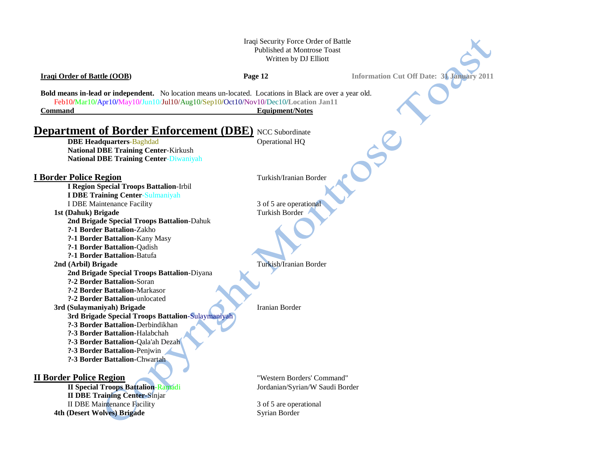Iraqi Security Force Order of Battle Published at Montrose Toast Written by DJ Elliott

**Iraqi Order of Battle (OOB) Page 12 Information Cut Off Date: 31 January 2011 Bold means in-lead or independent.** No location means un-located. Locations in Black are over a year old. Feb10**/**Mar10**/**Apr10**/**May10**/**Jun10/Jul10/Aug10/Sep10**/**Oct10/Nov10/Dec10**/Location Jan11 Command** Equipment/Notes **Department of Border Enforcement (DBE)** NCC Subordinate **DBE Headquarters-Baghdad** Operational HQ **National DBE Training Center**-Kirkush **National DBE Training Center**-Diwaniyah **I Border Police Region** Turkish/Iranian Border **I Region Special Troops Battalion**-Irbil **I DBE Training Center**-Sulmaniyah I DBE Maintenance Facility 3 of 5 are operational **1st (Dahuk) Brigade** Turkish Border **2nd Brigade Special Troops Battalion**-Dahuk **?-1 Border Battalion-**Zakho **?-1 Border Battalion-**Kany Masy **?-1 Border Battalion-**Qadish **?-1 Border Battalion-**Batufa **2nd (Arbil) Brigade** Turkish/Iranian Border **2nd Brigade Special Troops Battalion**-Diyana **?-2 Border Battalion-**Soran **?-2 Border Battalion-**Markasor **?-2 Border Battalion**-unlocated **3rd (Sulaymaniyah) Brigade** Iranian Border **3rd Brigade Special Troops Battalion**-Sulaymaniyah **?-3 Border Battalion-**Derbindikhan **?-3 Border Battalion-**Halabchah **?-3 Border Battalion-**Qala'ah Dezah **?-3 Border Battalion-**Penjwin **?-3 Border Battalion-**Chwartah **II Border Police Region** "Western Borders' Command" **II Special Troops Battalion-Ramadi** Jordanian/Syrian/W Saudi Border **II DBE Training Center**-Sinjar II DBE Maintenance Facility 3 of 5 are operational **4th (Desert Wolves) Brigade** Syrian Border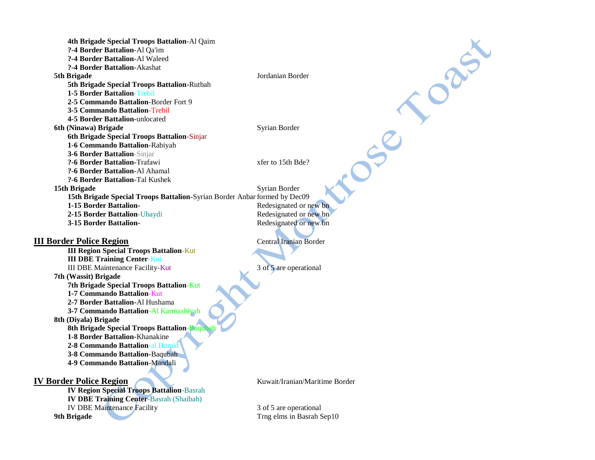ORIT **4th Brigade Special Troops Battalion**-Al Qaim **?-4 Border Battalion**-Al Qa'im **?-4 Border Battalion**-Al Waleed **?-4 Border Battalion-**Akashat **5th Brigade** Jordanian Border **5th Brigade Special Troops Battalion**-Rutbah **1-5 Border Battalion**-Trebil **2-5 Commando Battalion**-Border Fort 9 **3-5 Commando Battalion**-Trebil **4-5 Border Battalion-**unlocated CC **6th (Ninawa) Brigade** Syrian Border **6th Brigade Special Troops Battalion**-Sinjar **1-6 Commando Battalion**-Rabiyah **3-6 Border Battalion**-Sinjar **?-6 Border Battalion-**Trafawi xfer to 15th Bde? **?-6 Border Battalion-**Al Ahamal **?-6 Border Battalion**-Tal Kushek **15th Brigade** Syrian Border **15th Brigade Special Troops Battalion**-Syrian Border Anbar formed by Dec09 **1-15 Border Battalion-** Redesignated or new bn **2-15 Border Battalion**-Ubaydi Redesignated or new bn **3-15 Border Battalion-** Redesignated or new bn **III Border Police Region** Central Iranian Border **III Region Special Troops Battalion**-Kut **III DBE Training Center**-Kut III DBE Maintenance Facility-Kut 3 of 5 are operational **7th (Wassit) Brigade 7th Brigade Special Troops Battalion**-Kut **1-7 Commando Battalion**-Kut **2-7 Border Battalion-**Al Hushama **3-7 Commando Battalion**-Al Karmashiyah **8th (Diyala) Brigade 8th Brigade Special Troops Battalion**-Baqubah **1-8 Border Battalion-**Khanakine **2-8 Commando Battalion**-al Hamid **3-8 Commando Battalion-**Baqubah **4-9 Commando Battalion**-Mandali **IV Border Police Region** Kuwait/Iranian/Maritime Border **IV Region Special Troops Battalion**-Basrah **IV DBE Training Center**-Basrah (Shaibah) IV DBE Maintenance Facility 3 of 5 are operational **9th Brigade** Trng elms in Basrah Sep10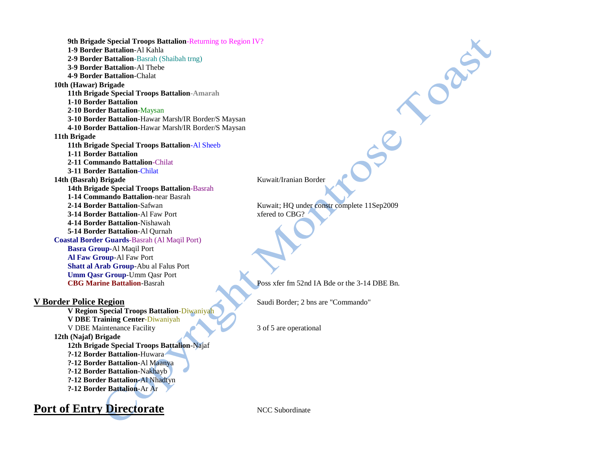**9th Brigade Special Troops Battalion**-Returning to Region IV? **1-9 Border Battalion**-Al Kahla **2-9 Border Battalion**-Basrah (Shaibah trng) **3-9 Border Battalion**-Al Thebe **4-9 Border Battalion**-Chalat **10th (Hawar) Brigade 11th Brigade Special Troops Battalion-Amarah 1-10 Border Battalion 2-10 Border Battalion**-Maysan **3-10 Border Battalion**-Hawar Marsh/IR Border/S Maysan **4-10 Border Battalion**-Hawar Marsh/IR Border/S Maysan **11th Brigade 11th Brigade Special Troops Battalion**-Al Sheeb **1-11 Border Battalion 2-11 Commando Battalion**-Chilat **3-11 Border Battalion**-Chilat **14th (Basrah) Brigade** Kuwait/Iranian Border **14th Brigade Special Troops Battalion**-Basrah **1-14 Commando Battalion**-near Basrah **2-14 Border Battalion**-Safwan Kuwait; HQ under constr complete 11Sep2009 **3-14 Border Battalion-Al Faw Port Xfered to CBG? 4-14 Border Battalion**-Nishawah **5-14 Border Battalion**-Al Qurnah **Coastal Border Guards**-Basrah (Al Maqil Port) **Basra Group-**Al Maqil Port **Al Faw Group**-Al Faw Port **Shatt al Arab Group**-Abu al Falus Port **Umm Qasr Group**-Umm Qasr Port **CBG Marine Battalion-Basrah Poss xfer fm 52nd IA Bde or the 3-14 DBE Bn. V Border Police Region** Saudi Border; 2 bns are "Commando" **V Region Special Troops Battalion**-Diwaniyah **V DBE Training Center**-Diwaniyah V DBE Maintenance Facility 3 of 5 are operational **12th (Najaf) Brigade 12th Brigade Special Troops Battalion**-Najaf

**?-12 Border Battalion-**Huwara **?-12 Border Battalion-**Al Maanya **?-12 Border Battalion**-Nakhayb **?-12 Border Battalion-**Al Nhadtyn **?-12 Border Battalion**-Ar Ar

DRA

**Port of Entry Directorate** NCC Subordinate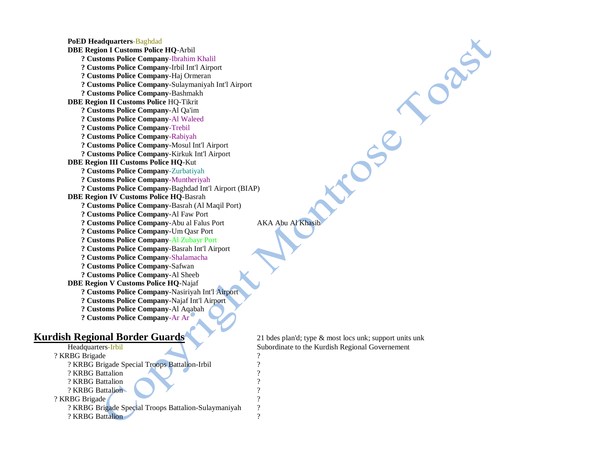**PoED Headquarters**-Baghdad **DBE Region I Customs Police HQ**-Arbil **? Customs Police Company**-Ibrahim Khalil **? Customs Police Company**-Irbil Int'l Airport **? Customs Police Company**-Haj Ormeran **? Customs Police Company**-Sulaymaniyah Int'l Airport **? Customs Police Company**-Bashmakh **DBE Region II Customs Police** HQ-Tikrit **? Customs Police Company**-Al Qa'im **? Customs Police Company**-Al Waleed **? Customs Police Company**-Trebil **? Customs Police Company**-Rabiyah **? Customs Police Company**-Mosul Int'l Airport **? Customs Police Company**-Kirkuk Int'l Airport **DBE Region III Customs Police HQ**-Kut **? Customs Police Company**-Zurbatiyah **? Customs Police Company**-Muntheriyah **? Customs Police Company**-Baghdad Int'l Airport (BIAP) **DBE Region IV Customs Police HQ**-Basrah **? Customs Police Company**-Basrah (Al Maqil Port) **? Customs Police Company**-Al Faw Port **? Customs Police Company-Abu al Falus Port AKA Abu Al Khasib ? Customs Police Company**-Um Qasr Port **? Customs Police Company**-Al Zubayr Port **? Customs Police Company**-Basrah Int'l Airport **? Customs Police Company**-Shalamacha **? Customs Police Company**-Safwan **? Customs Police Company**-Al Sheeb **DBE Region V Customs Police HQ**-Najaf **? Customs Police Company**-Nasiriyah Int'l Airport **? Customs Police Company**-Najaf Int'l Airport **? Customs Police Company**-Al Aqabah **? Customs Police Company**-Ar Ar

## **Kurdish Regional Border Guards** 21 bdes plan'd; type & most locs unk; support units unk

| Headquarters-Irbil                                   |   |
|------------------------------------------------------|---|
| ? KRBG Brigade                                       | ? |
| ? KRBG Brigade Special Troops Battalion-Irbil        | ? |
| ? KRBG Battalion                                     | ? |
| ? KRBG Battalion                                     | ? |
| ? KRBG Battalion                                     | ? |
| ? KRBG Brigade                                       | ? |
| ? KRBG Brigade Special Troops Battalion-Sulaymaniyah | ? |
| ? KRBG Battalion                                     | ? |
|                                                      |   |

Subordinate to the Kurdish Regional Governement

 $566$ 

CREE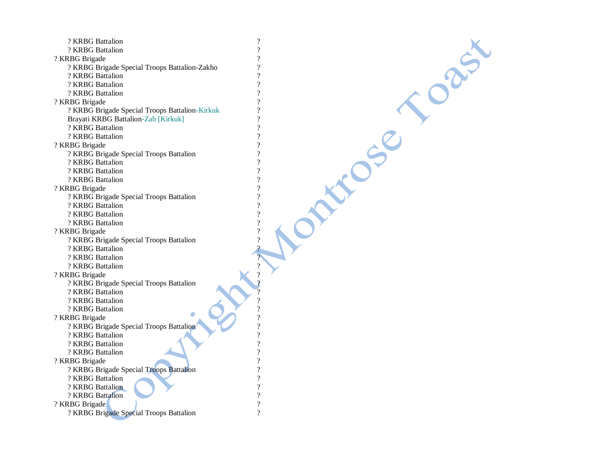| ? KRBG Battalion                               | $\overline{\mathcal{L}}$                             |
|------------------------------------------------|------------------------------------------------------|
| ? KRBG Battalion                               | $\overline{?}$                                       |
| ? KRBG Brigade                                 | $\overline{?}$                                       |
| ? KRBG Brigade Special Troops Battalion-Zakho  | $\overline{\mathcal{L}}$                             |
| ? KRBG Battalion                               | $\overline{?}$                                       |
| ? KRBG Battalion                               | $\overline{\mathcal{L}}$                             |
| ? KRBG Battalion                               | $\overline{\mathcal{L}}$                             |
| ? KRBG Brigade                                 | $\overline{\mathcal{L}}$                             |
| ? KRBG Brigade Special Troops Battalion-Kirkuk | $\gamma$                                             |
| Brayati KRBG Battalion-Zab [Kirkuk]            | $\overline{\mathcal{L}}$                             |
| ? KRBG Battalion                               | $\overline{?}$                                       |
| ? KRBG Battalion                               | $\overline{\mathcal{L}}$                             |
| ? KRBG Brigade                                 | $\overline{\mathcal{L}}$                             |
| ? KRBG Brigade Special Troops Battalion        | $\overline{?}$                                       |
| ? KRBG Battalion                               | $\gamma$                                             |
| ? KRBG Battalion                               | $\overline{\mathcal{C}}$                             |
| ? KRBG Battalion                               | $\gamma$                                             |
| ? KRBG Brigade                                 | $\gamma$                                             |
| ? KRBG Brigade Special Troops Battalion        | $\overline{\mathcal{C}}$                             |
| ? KRBG Battalion                               | $\gamma$                                             |
| ? KRBG Battalion                               | $\overline{\mathcal{L}}$                             |
| ? KRBG Battalion                               | $\overline{\mathcal{L}}$                             |
| ? KRBG Brigade                                 | $\overline{\mathcal{L}}$                             |
| ? KRBG Brigade Special Troops Battalion        | $\overline{\mathcal{L}}$                             |
| ? KRBG Battalion                               |                                                      |
| ? KRBG Battalion                               |                                                      |
| ? KRBG Battalion                               |                                                      |
| ? KRBG Brigade                                 |                                                      |
| ? KRBG Brigade Special Troops Battalion        |                                                      |
| ? KRBG Battalion                               |                                                      |
| ? KRBG Battalion                               |                                                      |
| ? KRBG Battalion                               |                                                      |
| ? KRBG Brigade                                 |                                                      |
| ? KRBG Brigade Special Troops Battalion        | $\gamma$                                             |
| ? KRBG Battalion                               | $\overline{\mathcal{C}}$                             |
| ? KRBG Battalion                               | $\overline{\mathcal{L}}$<br>?                        |
| ? KRBG Battalion                               |                                                      |
| ? KRBG Brigade                                 | $\overline{\mathcal{L}}$                             |
| ? KRBG Brigade Special Troops Battalion        | $\overline{\mathcal{L}}$<br>$\overline{?}$           |
| ? KRBG Battalion                               |                                                      |
| ? KRBG Battalion                               | $\overline{\mathcal{L}}$<br>$\overline{\mathcal{L}}$ |
| ? KRBG Battalion                               |                                                      |
| ? KRBG Brigade                                 | $\overline{\mathcal{L}}$                             |
| ? KRBG Brigade Special Troops Battalion        | $\overline{?}$                                       |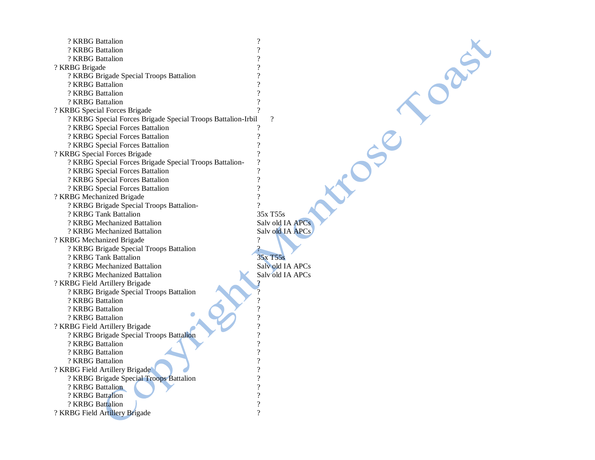| ? KRBG Battalion                                             | $\overline{\mathcal{L}}$ |
|--------------------------------------------------------------|--------------------------|
| ? KRBG Battalion                                             | $\overline{\mathcal{C}}$ |
| ? KRBG Battalion                                             | $\overline{\mathcal{C}}$ |
| ? KRBG Brigade                                               | ?                        |
| ? KRBG Brigade Special Troops Battalion                      | $\overline{\mathcal{C}}$ |
| ? KRBG Battalion                                             | $\overline{\mathcal{C}}$ |
| ? KRBG Battalion                                             | $\overline{\mathcal{L}}$ |
| ? KRBG Battalion                                             | $\overline{\mathcal{L}}$ |
| ? KRBG Special Forces Brigade                                | ?                        |
| ? KRBG Special Forces Brigade Special Troops Battalion-Irbil | $\gamma$                 |
| ? KRBG Special Forces Battalion                              |                          |
| ? KRBG Special Forces Battalion                              | $\overline{\mathcal{L}}$ |
| ? KRBG Special Forces Battalion                              | $\overline{\mathcal{C}}$ |
| ? KRBG Special Forces Brigade                                | $\overline{\mathcal{L}}$ |
| ? KRBG Special Forces Brigade Special Troops Battalion-      | $\overline{\mathcal{L}}$ |
| ? KRBG Special Forces Battalion                              | $\overline{\mathcal{C}}$ |
| ? KRBG Special Forces Battalion                              | $\overline{\mathcal{C}}$ |
| ? KRBG Special Forces Battalion                              | $\overline{\mathcal{C}}$ |
| ? KRBG Mechanized Brigade                                    | $\overline{\mathcal{L}}$ |
| ? KRBG Brigade Special Troops Battalion-                     | 9                        |
| ? KRBG Tank Battalion                                        | 35x T55s                 |
| ? KRBG Mechanized Battalion                                  | Salv old IA APCs         |
| ? KRBG Mechanized Battalion                                  | Salv old IA APCs         |
| ? KRBG Mechanized Brigade                                    | ?                        |
| ? KRBG Brigade Special Troops Battalion                      | $\mathcal{P}$            |
| ? KRBG Tank Battalion                                        | 35x T55s                 |
| ? KRBG Mechanized Battalion                                  | Salv old IA APCs         |
| ? KRBG Mechanized Battalion                                  | Salv old IA APCs         |
| ? KRBG Field Artillery Brigade                               | ?                        |
| ? KRBG Brigade Special Troops Battalion                      | $\overline{?}$           |
| ? KRBG Battalion                                             | $\overline{?}$           |
| ? KRBG Battalion                                             | ?                        |
| ? KRBG Battalion                                             | $\overline{\mathcal{C}}$ |
| ? KRBG Field Artillery Brigade                               | $\overline{?}$           |
| ? KRBG Brigade Special Troops Battalion                      | $\overline{\mathcal{C}}$ |
| ? KRBG Battalion                                             | ?                        |
| ? KRBG Battalion                                             | $\overline{\mathcal{L}}$ |
| ? KRBG Battalion                                             | $\overline{\mathcal{C}}$ |
| ? KRBG Field Artillery Brigade                               | $\overline{\mathcal{L}}$ |
| ? KRBG Brigade Special Troops Battalion                      | $\overline{\mathcal{C}}$ |
| ? KRBG Battalion                                             | $\overline{\mathcal{C}}$ |
| ? KRBG Battalion                                             | $\overline{\mathcal{C}}$ |
| ? KRBG Battalion                                             | $\overline{\mathcal{C}}$ |
| ? KRBG Field Artillery Brigade                               | $\mathcal{P}$            |
|                                                              |                          |